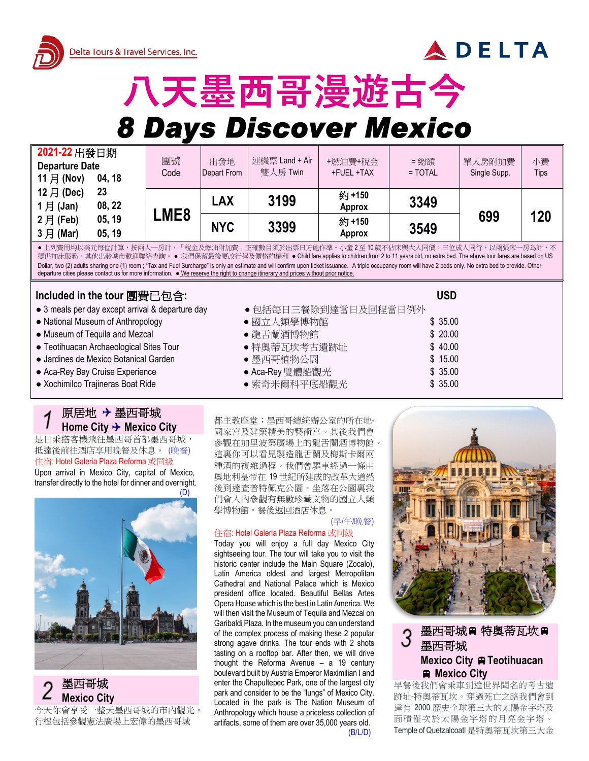



# 八天墨西哥漫遊古今

## **8 Days Discover Mexico**

| 2021-22 出發日期<br><b>Departure Date</b><br>11 月 (Nov)<br>04, 18 | 團號<br>Code  | 出發地<br>Depart From | 連機票 Land + Air<br>雙人房 Twin | +燃油費+稅金<br>+FUEL +TAX  | =總額<br>$=$ TOTAL | 單人房附加費<br>Single Supp. | 小費<br><b>Tips</b> |
|---------------------------------------------------------------|-------------|--------------------|----------------------------|------------------------|------------------|------------------------|-------------------|
| 12 月 (Dec)<br>23<br>$1$ 月 (Jan)<br>08, 22                     |             | LAX                | 3199                       | 約+150<br><b>Approx</b> | 3349             |                        |                   |
| $2$ 月 (Feb)<br>05, 19<br>3月 (Mar)<br>05, 19                   | <b>_ME8</b> | <b>NYC</b>         | 3399                       | 約+150<br><b>Approx</b> | 3549             | 699                    | 120               |

●上列費用均以美元每位計算,按兩人一房計,「稅金及燃油附加費」正確數目須於出票日方能作準。小童 2至 10 歲不佔床與大人同價。三位成人同行,以兩張床一房為計,不 提供加床服務。其他出發城市歡迎聯絡查詢。● 我們保留最後更改行程及價格的權利 ● Child fare applies to children from 2 to 11 years old, no extra bed. The above tour fares are based on US Dollar, two (2) adults sharing one (1) room ; "Tax and Fuel Surcharge" is only an estimate and will confirm upon ticket issuance. A triple occupancy room will have 2 beds only. No extra bed to provide. Other departure cities please contact us for more information. ● We reserve the right to change itinerary and prices without prior notice.

## **Included in the tour** 團費已包含**: USD**

- 
- National Museum of Anthropology ● 國立人類學博物館 \$ 35.00
- Museum of Tequila and Mezcal 龍舌蘭酒博物館 \$ 20.00
- Teotihuacan Archaeological Sites Tour 特奧蒂瓦坎考古遺跡址 \$ 40.00
- Jardines de Mexico Botanical Garden 墨西哥植物公園 \$ 15.00
- Aca-Rey Bay Cruise Experience ● Aca-Rey 雙體船觀光 ● Aca-Rey \$ 35.00
- Xochimilco Trajineras Boat Ride ● 索奇米爾科平底船觀光 \$ 35.00

## 原居地 墨西哥城 Home City → Mexico City

是日乘搭客機飛往墨西哥首都墨西哥城, 抵達後前往酒店享用晚餐及休息。 (晚餐) 住宿: Hotel Galeria Plaza Reforma 或同級

Upon arrival in Mexico City, capital of Mexico, transfer directly to the hotel for dinner and overnight.



**Mexico City** 今天你會享受一整天墨西哥城的市內觀光 行程包括參觀憲法廣場上宏偉的墨西哥城

- 3 meals per day except arrival & departure day <br>● 包括每日三餐除到達當日及回程當日例外
	-
	-
	-
	-
	-
	-

都主教座堂;墨西哥總統辦公室的所在地-國家宮及建築精美的藝術宮。其後我們會 參觀在加里波第廣場上的龍舌蘭酒博物館。 這裏你可以看見製造龍舌蘭及梅斯卡爾兩 種酒的複雜過程。我們會驅車經過一條由 奧地利皇帝在 19 世紀所建成的改革大道然 後到達查普特佩克公園。坐落在公園裏我 們會入內參觀有無數珍藏文物的國立人類 學博物館。餐後返回酒店休息。

### (早/午/晚餐)

#### 住宿: Hotel Galeria Plaza Reforma 或同級

Today you will enjoy a full day Mexico City sightseeing tour. The tour will take you to visit the historic center include the Main Square (Zocalo), Latin America oldest and largest Metropolitan Cathedral and National Palace which is Mexico president office located. Beautiful Bellas Artes Opera House which is the best in Latin America. We will then visit the Museum of Tequila and Mezcal on Garibaldi Plaza. In the museum you can understand of the complex process of making these 2 popular strong agave drinks. The tour ends with 2 shots tasting on a rooftop bar. After then, we will drive thought the Reforma Avenue – a 19 century boulevard built by Austria Emperor Maximilian I and enter the Chapultepec Park, one of the largest city park and consider to be the "lungs" of Mexico City. Located in the park is The Nation Museum of Anthropology which house a priceless collection of artifacts, some of them are over 35,000 years old.



## 墨西哥城 # 特奧蒂瓦坎 # 墨西哥城 **Mexico City Teotihuacan Mexico City**

早餐後我們會乘車到達世界聞名的考古遺 跡址-特奧蒂瓦坎。穿過死亡之路我們會到 達有 2000 歷史全球第三大的太陽金字塔及 面積僅次於太陽金字塔的月亮金字塔。 Temple of Quetzalcoatl 是特奧蒂瓦坎第三大金